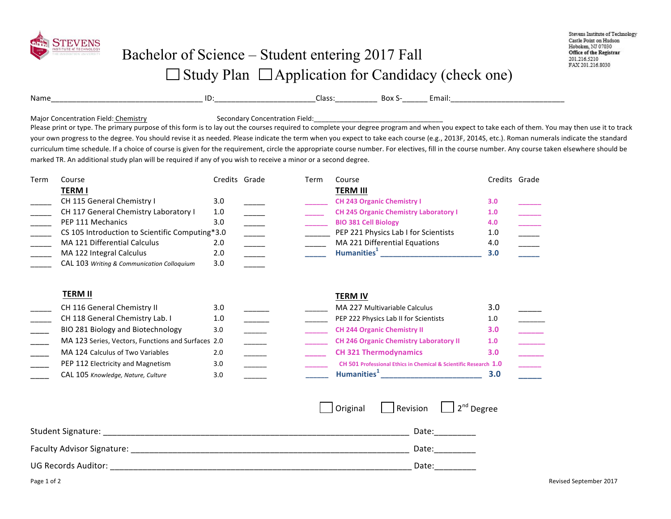

Name\_\_\_\_\_\_\_\_\_\_\_\_\_\_\_\_\_\_\_\_\_\_\_\_\_\_\_\_\_\_\_\_\_\_\_\_ ID:\_\_\_\_\_\_\_\_\_\_\_\_\_\_\_\_\_\_\_\_\_\_\_\_Class:\_\_\_\_\_\_\_\_\_\_ Box S-\_\_\_\_\_\_ Email:\_\_\_\_\_\_\_\_\_\_\_\_\_\_\_\_\_\_\_\_\_\_\_\_\_\_\_

Major Concentration Field: Chemistry **Secondary Concentration Field:** Descondary Concentration Field:

Please print or type. The primary purpose of this form is to lay out the courses required to complete your degree program and when you expect to take each of them. You may then use it to track your own progress to the degree. You should revise it as needed. Please indicate the term when you expect to take each course (e.g., 2013F, 2014S, etc.). Roman numerals indicate the standard curriculum time schedule. If a choice of course is given for the requirement, circle the appropriate course number. For electives, fill in the course number. Any course taken elsewhere should be marked TR. An additional study plan will be required if any of you wish to receive a minor or a second degree.

| Term | Course                                          |     | Credits Grade | Term | Course                                       |     | Credits Grade |
|------|-------------------------------------------------|-----|---------------|------|----------------------------------------------|-----|---------------|
|      | TERM I                                          |     |               |      | <b>TERM III</b>                              |     |               |
|      | CH 115 General Chemistry I                      | 3.0 |               |      | <b>CH 243 Organic Chemistry I</b>            | 3.0 |               |
|      | CH 117 General Chemistry Laboratory I           | 1.0 |               |      | <b>CH 245 Organic Chemistry Laboratory I</b> | 1.0 |               |
|      | PEP 111 Mechanics                               | 3.0 |               |      | <b>BIO 381 Cell Biology</b>                  | 4.0 |               |
|      | CS 105 Introduction to Scientific Computing*3.0 |     |               |      | PEP 221 Physics Lab I for Scientists         | 1.0 |               |
|      | MA 121 Differential Calculus                    | 2.0 |               |      | MA 221 Differential Equations                | 4.0 |               |
|      | MA 122 Integral Calculus                        | 2.0 |               |      | Humanities <sup>+</sup>                      | 3.0 |               |
|      | CAL 103 Writing & Communication Colloquium      | 3.0 |               |      |                                              |     |               |

| TERM II                                            |     |  | <b>TERM IV</b>                                                   |                  |
|----------------------------------------------------|-----|--|------------------------------------------------------------------|------------------|
| CH 116 General Chemistry II                        | 3.0 |  | MA 227 Multivariable Calculus                                    | 3.0              |
| CH 118 General Chemistry Lab. I                    | 1.0 |  | PEP 222 Physics Lab II for Scientists                            | 1.0              |
| BIO 281 Biology and Biotechnology                  | 3.0 |  | <b>CH 244 Organic Chemistry II</b>                               | 3.0 <sub>2</sub> |
| MA 123 Series, Vectors, Functions and Surfaces 2.0 |     |  | <b>CH 246 Organic Chemistry Laboratory II</b>                    | 1.0              |
| MA 124 Calculus of Two Variables                   | 2.0 |  | <b>CH 321 Thermodynamics</b>                                     |                  |
| PEP 112 Electricity and Magnetism                  | 3.0 |  | CH 501 Professional Ethics in Chemical & Scientific Research 1.0 |                  |
| CAL 105 Knowledge, Nature, Culture                 | 3.0 |  | Humanities <sup>1</sup>                                          | 3.0              |

|                            | Original | Revision $\Box$ 2 <sup>nd</sup> Degree |
|----------------------------|----------|----------------------------------------|
| <b>Student Signature:</b>  |          | Date:                                  |
| Faculty Advisor Signature: |          | Date:                                  |
| <b>UG Records Auditor:</b> |          | Date:                                  |